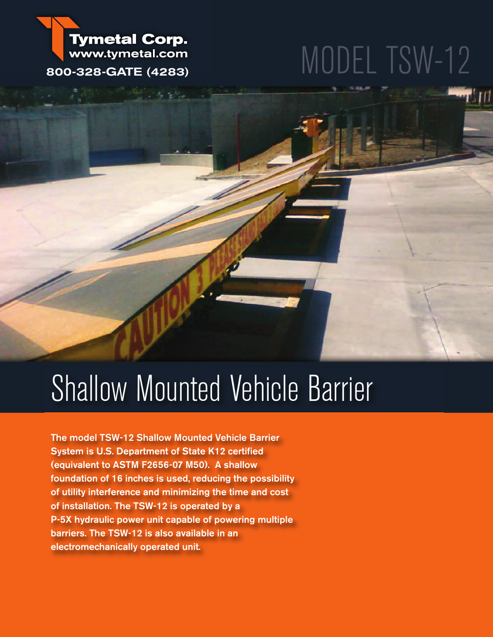# MODEL TSW-12

**Tymetal Corp.** www.tymetal.com **800-328-GATE (4283)**

## Shallow Mounted Vehicle Barrier

**The model TSW-12 Shallow Mounted Vehicle Barrier System is U.S. Department of State K12 certified (equivalent to ASTM F2656-07 M50). A shallow foundation of 16 inches is used, reducing the possibility of utility interference and minimizing the time and cost of installation. The TSW-12 is operated by a P-5X hydraulic power unit capable of powering multiple barriers. The TSW-12 is also available in an electromechanically operated unit.**